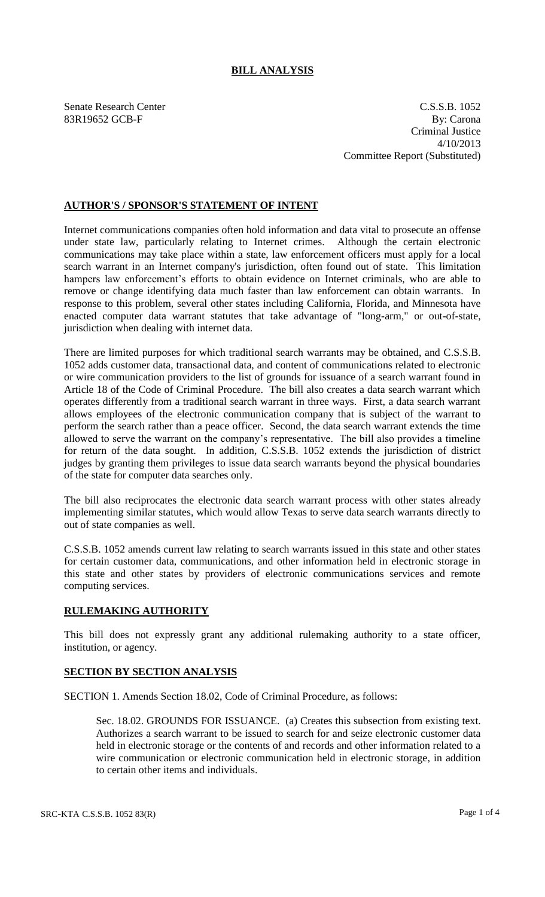## **BILL ANALYSIS**

Senate Research Center C.S.S.B. 1052 83R19652 GCB-F By: Carona Criminal Justice 4/10/2013 Committee Report (Substituted)

## **AUTHOR'S / SPONSOR'S STATEMENT OF INTENT**

Internet communications companies often hold information and data vital to prosecute an offense under state law, particularly relating to Internet crimes. Although the certain electronic communications may take place within a state, law enforcement officers must apply for a local search warrant in an Internet company's jurisdiction, often found out of state. This limitation hampers law enforcement's efforts to obtain evidence on Internet criminals, who are able to remove or change identifying data much faster than law enforcement can obtain warrants. In response to this problem, several other states including California, Florida, and Minnesota have enacted computer data warrant statutes that take advantage of "long-arm," or out-of-state, jurisdiction when dealing with internet data.

There are limited purposes for which traditional search warrants may be obtained, and C.S.S.B. 1052 adds customer data, transactional data, and content of communications related to electronic or wire communication providers to the list of grounds for issuance of a search warrant found in Article 18 of the Code of Criminal Procedure. The bill also creates a data search warrant which operates differently from a traditional search warrant in three ways. First, a data search warrant allows employees of the electronic communication company that is subject of the warrant to perform the search rather than a peace officer. Second, the data search warrant extends the time allowed to serve the warrant on the company's representative. The bill also provides a timeline for return of the data sought. In addition, C.S.S.B. 1052 extends the jurisdiction of district judges by granting them privileges to issue data search warrants beyond the physical boundaries of the state for computer data searches only.

The bill also reciprocates the electronic data search warrant process with other states already implementing similar statutes, which would allow Texas to serve data search warrants directly to out of state companies as well.

C.S.S.B. 1052 amends current law relating to search warrants issued in this state and other states for certain customer data, communications, and other information held in electronic storage in this state and other states by providers of electronic communications services and remote computing services.

## **RULEMAKING AUTHORITY**

This bill does not expressly grant any additional rulemaking authority to a state officer, institution, or agency.

## **SECTION BY SECTION ANALYSIS**

SECTION 1. Amends Section 18.02, Code of Criminal Procedure, as follows:

Sec. 18.02. GROUNDS FOR ISSUANCE. (a) Creates this subsection from existing text. Authorizes a search warrant to be issued to search for and seize electronic customer data held in electronic storage or the contents of and records and other information related to a wire communication or electronic communication held in electronic storage, in addition to certain other items and individuals.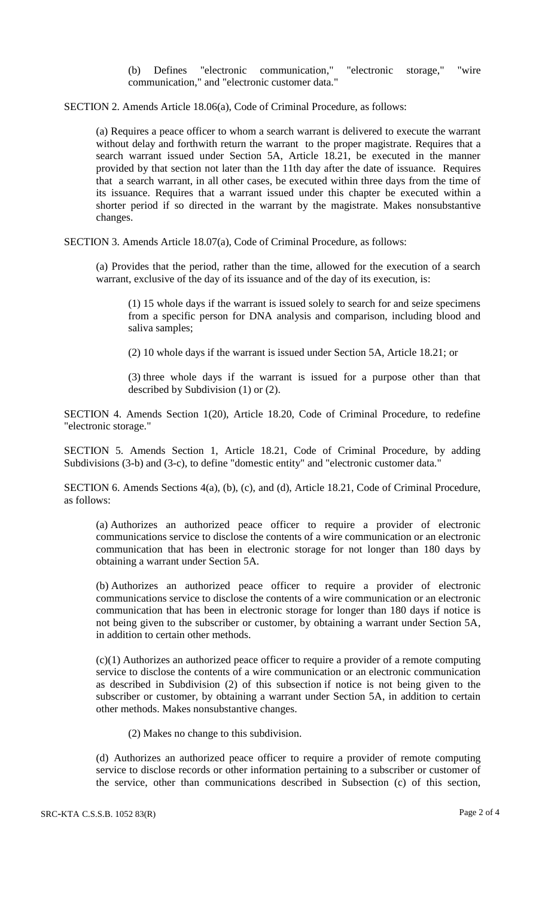(b) Defines "electronic communication," "electronic storage," "wire communication," and "electronic customer data."

SECTION 2. Amends Article 18.06(a), Code of Criminal Procedure, as follows:

(a) Requires a peace officer to whom a search warrant is delivered to execute the warrant without delay and forthwith return the warrant to the proper magistrate. Requires that a search warrant issued under Section 5A, Article 18.21, be executed in the manner provided by that section not later than the 11th day after the date of issuance. Requires that a search warrant, in all other cases, be executed within three days from the time of its issuance. Requires that a warrant issued under this chapter be executed within a shorter period if so directed in the warrant by the magistrate. Makes nonsubstantive changes.

SECTION 3. Amends Article 18.07(a), Code of Criminal Procedure, as follows:

(a) Provides that the period, rather than the time, allowed for the execution of a search warrant, exclusive of the day of its issuance and of the day of its execution, is:

(1) 15 whole days if the warrant is issued solely to search for and seize specimens from a specific person for DNA analysis and comparison, including blood and saliva samples;

(2) 10 whole days if the warrant is issued under Section 5A, Article 18.21; or

(3) three whole days if the warrant is issued for a purpose other than that described by Subdivision (1) or (2).

SECTION 4. Amends Section 1(20), Article 18.20, Code of Criminal Procedure, to redefine "electronic storage."

SECTION 5. Amends Section 1, Article 18.21, Code of Criminal Procedure, by adding Subdivisions (3-b) and (3-c), to define "domestic entity" and "electronic customer data."

SECTION 6. Amends Sections 4(a), (b), (c), and (d), Article 18.21, Code of Criminal Procedure, as follows:

(a) Authorizes an authorized peace officer to require a provider of electronic communications service to disclose the contents of a wire communication or an electronic communication that has been in electronic storage for not longer than 180 days by obtaining a warrant under Section 5A.

(b) Authorizes an authorized peace officer to require a provider of electronic communications service to disclose the contents of a wire communication or an electronic communication that has been in electronic storage for longer than 180 days if notice is not being given to the subscriber or customer, by obtaining a warrant under Section 5A, in addition to certain other methods.

(c)(1) Authorizes an authorized peace officer to require a provider of a remote computing service to disclose the contents of a wire communication or an electronic communication as described in Subdivision (2) of this subsection if notice is not being given to the subscriber or customer, by obtaining a warrant under Section 5A, in addition to certain other methods. Makes nonsubstantive changes.

(2) Makes no change to this subdivision.

(d) Authorizes an authorized peace officer to require a provider of remote computing service to disclose records or other information pertaining to a subscriber or customer of the service, other than communications described in Subsection (c) of this section,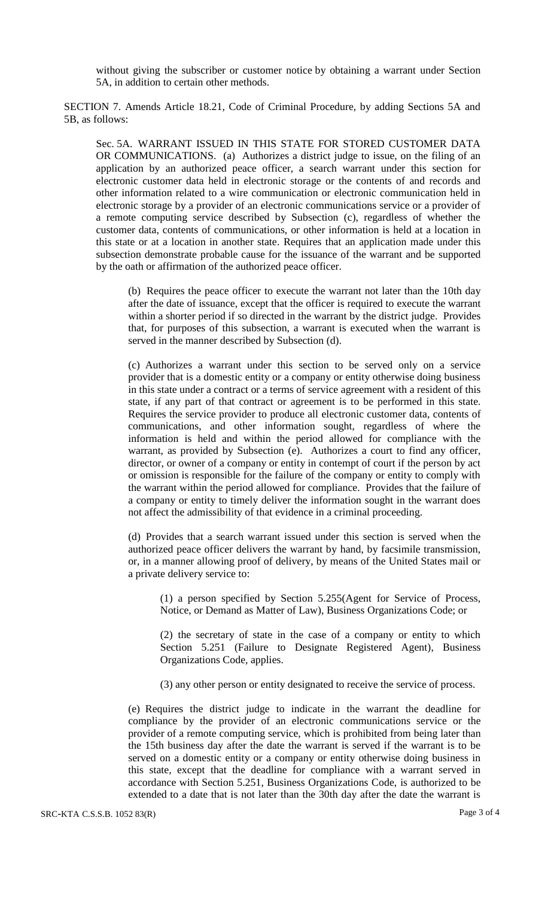without giving the subscriber or customer notice by obtaining a warrant under Section 5A, in addition to certain other methods.

SECTION 7. Amends Article 18.21, Code of Criminal Procedure, by adding Sections 5A and 5B, as follows:

Sec. 5A. WARRANT ISSUED IN THIS STATE FOR STORED CUSTOMER DATA OR COMMUNICATIONS. (a) Authorizes a district judge to issue, on the filing of an application by an authorized peace officer, a search warrant under this section for electronic customer data held in electronic storage or the contents of and records and other information related to a wire communication or electronic communication held in electronic storage by a provider of an electronic communications service or a provider of a remote computing service described by Subsection (c), regardless of whether the customer data, contents of communications, or other information is held at a location in this state or at a location in another state. Requires that an application made under this subsection demonstrate probable cause for the issuance of the warrant and be supported by the oath or affirmation of the authorized peace officer.

(b) Requires the peace officer to execute the warrant not later than the 10th day after the date of issuance, except that the officer is required to execute the warrant within a shorter period if so directed in the warrant by the district judge. Provides that, for purposes of this subsection, a warrant is executed when the warrant is served in the manner described by Subsection (d).

(c) Authorizes a warrant under this section to be served only on a service provider that is a domestic entity or a company or entity otherwise doing business in this state under a contract or a terms of service agreement with a resident of this state, if any part of that contract or agreement is to be performed in this state. Requires the service provider to produce all electronic customer data, contents of communications, and other information sought, regardless of where the information is held and within the period allowed for compliance with the warrant, as provided by Subsection (e). Authorizes a court to find any officer, director, or owner of a company or entity in contempt of court if the person by act or omission is responsible for the failure of the company or entity to comply with the warrant within the period allowed for compliance. Provides that the failure of a company or entity to timely deliver the information sought in the warrant does not affect the admissibility of that evidence in a criminal proceeding.

(d) Provides that a search warrant issued under this section is served when the authorized peace officer delivers the warrant by hand, by facsimile transmission, or, in a manner allowing proof of delivery, by means of the United States mail or a private delivery service to:

(1) a person specified by Section 5.255(Agent for Service of Process, Notice, or Demand as Matter of Law), Business Organizations Code; or

(2) the secretary of state in the case of a company or entity to which Section 5.251 (Failure to Designate Registered Agent), Business Organizations Code, applies.

(3) any other person or entity designated to receive the service of process.

(e) Requires the district judge to indicate in the warrant the deadline for compliance by the provider of an electronic communications service or the provider of a remote computing service, which is prohibited from being later than the 15th business day after the date the warrant is served if the warrant is to be served on a domestic entity or a company or entity otherwise doing business in this state, except that the deadline for compliance with a warrant served in accordance with Section 5.251, Business Organizations Code, is authorized to be extended to a date that is not later than the 30th day after the date the warrant is